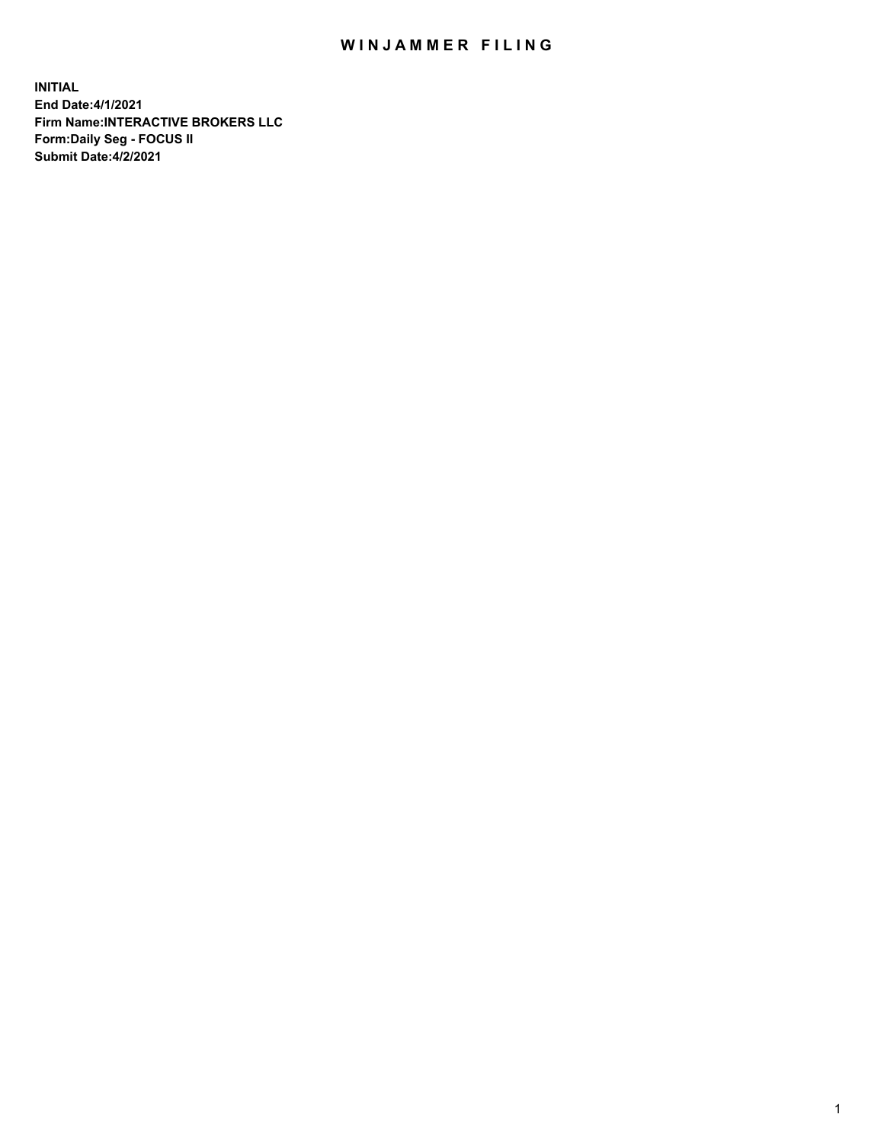## WIN JAMMER FILING

**INITIAL End Date:4/1/2021 Firm Name:INTERACTIVE BROKERS LLC Form:Daily Seg - FOCUS II Submit Date:4/2/2021**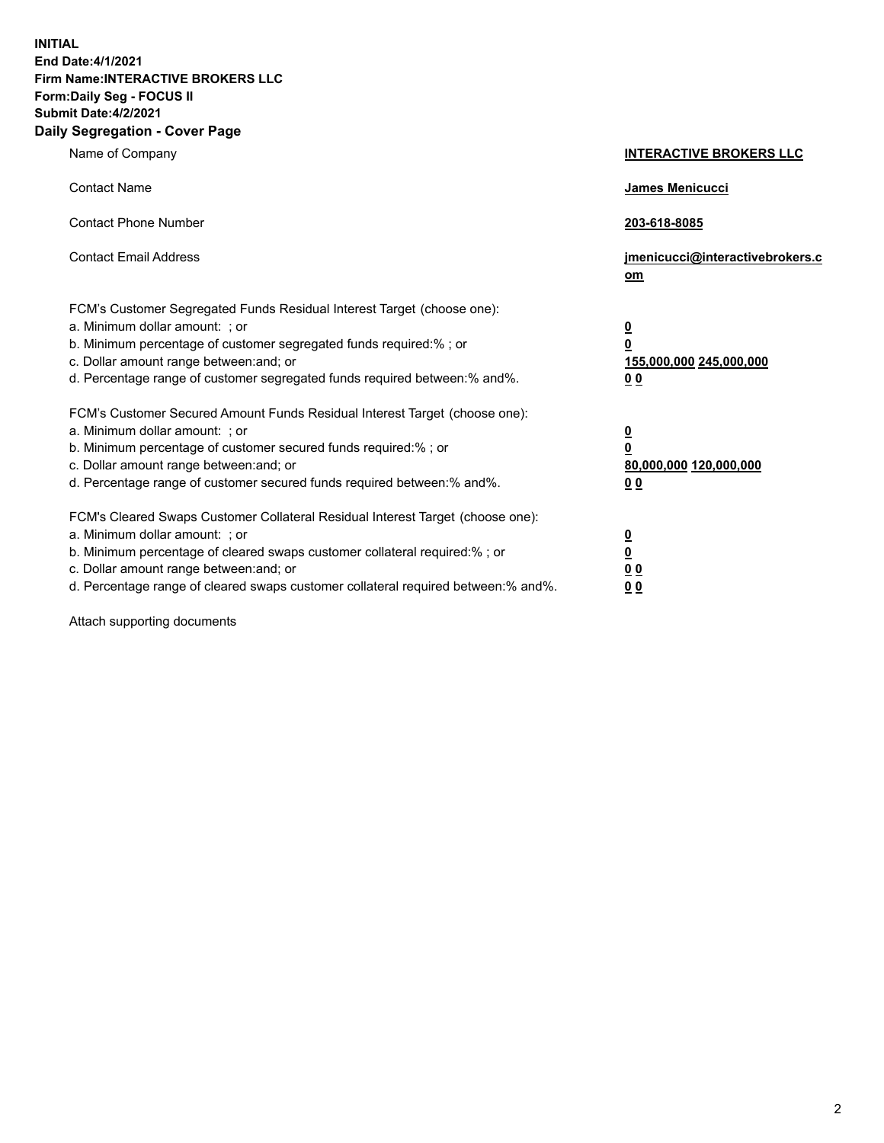**INITIAL End Date:4/1/2021 Firm Name:INTERACTIVE BROKERS LLC Form:Daily Seg - FOCUS II Submit Date:4/2/2021 Daily Segregation - Cover Page**

| Name of Company                                                                                                                                                                                                                                                                                                                | <b>INTERACTIVE BROKERS LLC</b>                                                                  |
|--------------------------------------------------------------------------------------------------------------------------------------------------------------------------------------------------------------------------------------------------------------------------------------------------------------------------------|-------------------------------------------------------------------------------------------------|
| <b>Contact Name</b>                                                                                                                                                                                                                                                                                                            | James Menicucci                                                                                 |
| <b>Contact Phone Number</b>                                                                                                                                                                                                                                                                                                    | 203-618-8085                                                                                    |
| <b>Contact Email Address</b>                                                                                                                                                                                                                                                                                                   | jmenicucci@interactivebrokers.c<br>om                                                           |
| FCM's Customer Segregated Funds Residual Interest Target (choose one):<br>a. Minimum dollar amount: ; or<br>b. Minimum percentage of customer segregated funds required:%; or<br>c. Dollar amount range between: and; or<br>d. Percentage range of customer segregated funds required between:% and%.                          | $\overline{\mathbf{0}}$<br>$\overline{\mathbf{0}}$<br>155,000,000 245,000,000<br>0 <sub>0</sub> |
| FCM's Customer Secured Amount Funds Residual Interest Target (choose one):<br>a. Minimum dollar amount: ; or<br>b. Minimum percentage of customer secured funds required:% ; or<br>c. Dollar amount range between: and; or<br>d. Percentage range of customer secured funds required between:% and%.                           | $\frac{0}{0}$<br>80,000,000 120,000,000<br>0 <sub>0</sub>                                       |
| FCM's Cleared Swaps Customer Collateral Residual Interest Target (choose one):<br>a. Minimum dollar amount: ; or<br>b. Minimum percentage of cleared swaps customer collateral required:% ; or<br>c. Dollar amount range between: and; or<br>d. Percentage range of cleared swaps customer collateral required between:% and%. | $\frac{0}{0}$<br>0 <sub>0</sub><br>0 <sub>0</sub>                                               |

Attach supporting documents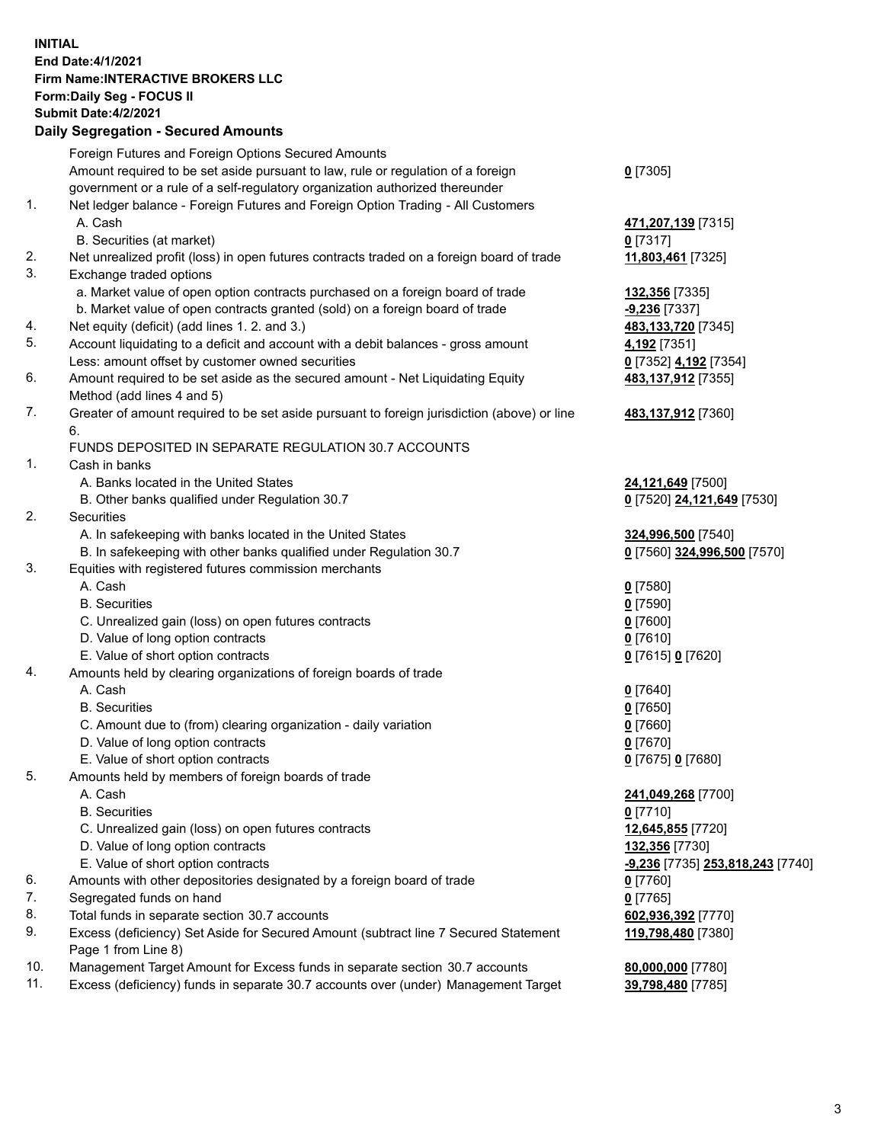## **INITIAL End Date:4/1/2021 Firm Name:INTERACTIVE BROKERS LLC Form:Daily Seg - FOCUS II Submit Date:4/2/2021 Daily Segregation - Secured Amounts**

|                | Dany Ocgregation - Occarea Anioants                                                         |                                               |
|----------------|---------------------------------------------------------------------------------------------|-----------------------------------------------|
|                | Foreign Futures and Foreign Options Secured Amounts                                         |                                               |
|                | Amount required to be set aside pursuant to law, rule or regulation of a foreign            | $0$ [7305]                                    |
|                | government or a rule of a self-regulatory organization authorized thereunder                |                                               |
| 1.             | Net ledger balance - Foreign Futures and Foreign Option Trading - All Customers             |                                               |
|                | A. Cash                                                                                     | 471,207,139 [7315]                            |
|                | B. Securities (at market)                                                                   | $0$ [7317]                                    |
| 2.             | Net unrealized profit (loss) in open futures contracts traded on a foreign board of trade   | 11,803,461 [7325]                             |
| 3.             | Exchange traded options                                                                     |                                               |
|                | a. Market value of open option contracts purchased on a foreign board of trade              | 132,356 [7335]                                |
|                | b. Market value of open contracts granted (sold) on a foreign board of trade                | $-9,236$ [7337]                               |
| 4.             | Net equity (deficit) (add lines 1. 2. and 3.)                                               | 483,133,720 [7345]                            |
| 5.             | Account liquidating to a deficit and account with a debit balances - gross amount           | 4,192 [7351]                                  |
|                | Less: amount offset by customer owned securities                                            | 0 [7352] 4,192 [7354]                         |
| 6.             | Amount required to be set aside as the secured amount - Net Liquidating Equity              | 483,137,912 [7355]                            |
|                | Method (add lines 4 and 5)                                                                  |                                               |
| 7.             | Greater of amount required to be set aside pursuant to foreign jurisdiction (above) or line | 483,137,912 [7360]                            |
|                | 6.                                                                                          |                                               |
|                | FUNDS DEPOSITED IN SEPARATE REGULATION 30.7 ACCOUNTS                                        |                                               |
| $\mathbf{1}$ . | Cash in banks                                                                               |                                               |
|                | A. Banks located in the United States                                                       | 24,121,649 [7500]                             |
|                | B. Other banks qualified under Regulation 30.7                                              | 0 [7520] 24,121,649 [7530]                    |
| 2.             | Securities                                                                                  |                                               |
|                | A. In safekeeping with banks located in the United States                                   | 324,996,500 [7540]                            |
|                | B. In safekeeping with other banks qualified under Regulation 30.7                          | 0 [7560] 324,996,500 [7570]                   |
| 3.             | Equities with registered futures commission merchants                                       |                                               |
|                | A. Cash                                                                                     | $0$ [7580]                                    |
|                | <b>B.</b> Securities                                                                        | $0$ [7590]                                    |
|                | C. Unrealized gain (loss) on open futures contracts                                         | $0$ [7600]                                    |
|                | D. Value of long option contracts                                                           | $0$ [7610]                                    |
|                | E. Value of short option contracts                                                          | 0 [7615] 0 [7620]                             |
| 4.             | Amounts held by clearing organizations of foreign boards of trade                           |                                               |
|                | A. Cash                                                                                     | $0$ [7640]                                    |
|                | <b>B.</b> Securities                                                                        | $0$ [7650]                                    |
|                | C. Amount due to (from) clearing organization - daily variation                             | $0$ [7660]                                    |
|                | D. Value of long option contracts                                                           | $0$ [7670]                                    |
|                | E. Value of short option contracts                                                          | 0 [7675] 0 [7680]                             |
| 5.             | Amounts held by members of foreign boards of trade                                          |                                               |
|                | A. Cash                                                                                     | 241,049,268 [7700]                            |
|                | <b>B.</b> Securities                                                                        | $0$ [7710]                                    |
|                | C. Unrealized gain (loss) on open futures contracts                                         | 12,645,855 [7720]                             |
|                | D. Value of long option contracts                                                           | 132,356 [7730]                                |
|                | E. Value of short option contracts                                                          | <mark>-9,236</mark> [7735] 253,818,243 [7740] |
| 6.             | Amounts with other depositories designated by a foreign board of trade                      | 0 [7760]                                      |
| 7.             | Segregated funds on hand                                                                    | $0$ [7765]                                    |
| 8.             | Total funds in separate section 30.7 accounts                                               | 602,936,392 [7770]                            |
| 9.             | Excess (deficiency) Set Aside for Secured Amount (subtract line 7 Secured Statement         | 119,798,480 [7380]                            |
|                | Page 1 from Line 8)                                                                         |                                               |
| 10.            | Management Target Amount for Excess funds in separate section 30.7 accounts                 | 80,000,000 [7780]                             |
| 11.            | Excess (deficiency) funds in separate 30.7 accounts over (under) Management Target          | 39,798,480 [7785]                             |
|                |                                                                                             |                                               |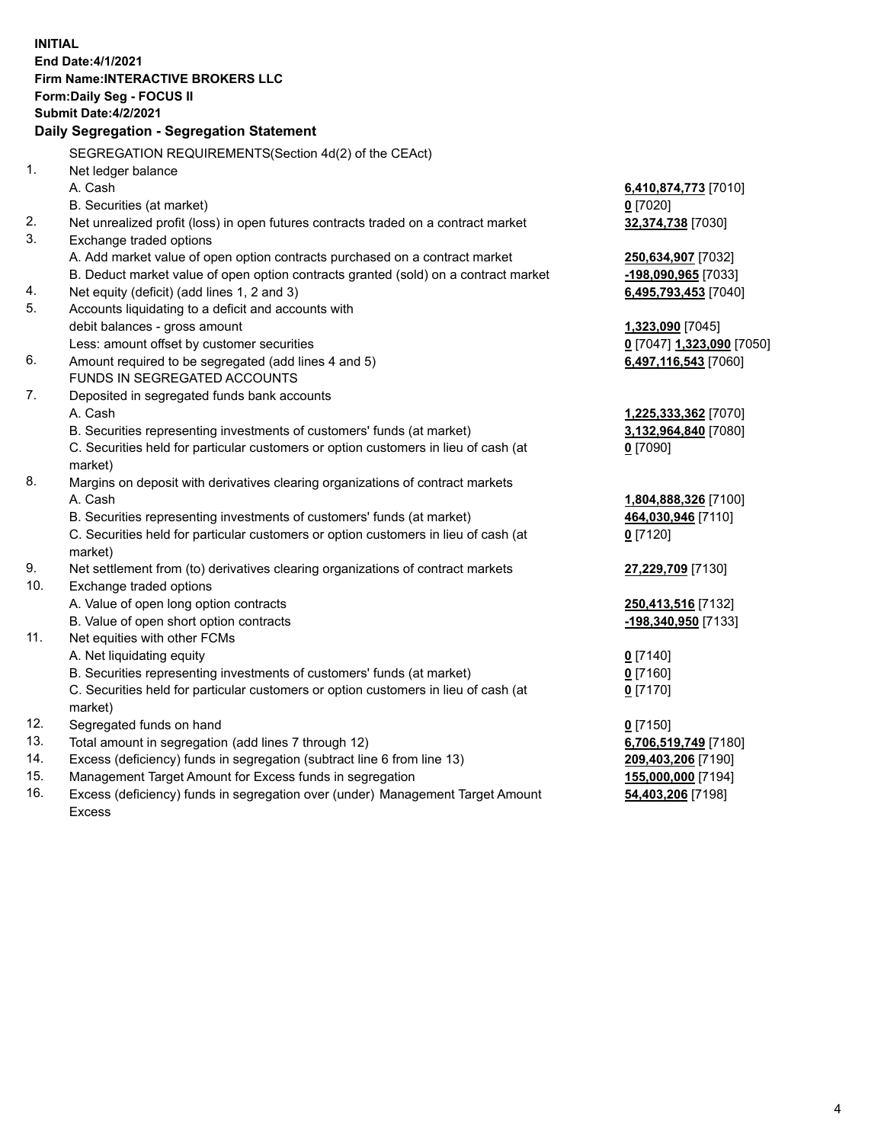**INITIAL End Date:4/1/2021 Firm Name:INTERACTIVE BROKERS LLC Form:Daily Seg - FOCUS II Submit Date:4/2/2021 Daily Segregation - Segregation Statement** SEGREGATION REQUIREMENTS(Section 4d(2) of the CEAct) 1. Net ledger balance A. Cash **6,410,874,773** [7010] B. Securities (at market) **0** [7020] 2. Net unrealized profit (loss) in open futures contracts traded on a contract market **32,374,738** [7030] 3. Exchange traded options A. Add market value of open option contracts purchased on a contract market **250,634,907** [7032] B. Deduct market value of open option contracts granted (sold) on a contract market **-198,090,965** [7033] 4. Net equity (deficit) (add lines 1, 2 and 3) **6,495,793,453** [7040] 5. Accounts liquidating to a deficit and accounts with debit balances - gross amount **1,323,090** [7045] Less: amount offset by customer securities **0** [7047] **1,323,090** [7050] 6. Amount required to be segregated (add lines 4 and 5) **6,497,116,543** [7060] FUNDS IN SEGREGATED ACCOUNTS 7. Deposited in segregated funds bank accounts A. Cash **1,225,333,362** [7070] B. Securities representing investments of customers' funds (at market) **3,132,964,840** [7080] C. Securities held for particular customers or option customers in lieu of cash (at market) **0** [7090] 8. Margins on deposit with derivatives clearing organizations of contract markets A. Cash **1,804,888,326** [7100] B. Securities representing investments of customers' funds (at market) **464,030,946** [7110] C. Securities held for particular customers or option customers in lieu of cash (at market) **0** [7120] 9. Net settlement from (to) derivatives clearing organizations of contract markets **27,229,709** [7130] 10. Exchange traded options A. Value of open long option contracts **250,413,516** [7132] B. Value of open short option contracts **-198,340,950** [7133] 11. Net equities with other FCMs A. Net liquidating equity **0** [7140] B. Securities representing investments of customers' funds (at market) **0** [7160] C. Securities held for particular customers or option customers in lieu of cash (at market) **0** [7170] 12. Segregated funds on hand **0** [7150] 13. Total amount in segregation (add lines 7 through 12) **6,706,519,749** [7180] 14. Excess (deficiency) funds in segregation (subtract line 6 from line 13) **209,403,206** [7190] 15. Management Target Amount for Excess funds in segregation **155,000,000** [7194] 16. Excess (deficiency) funds in segregation over (under) Management Target Amount **54,403,206** [7198]

Excess